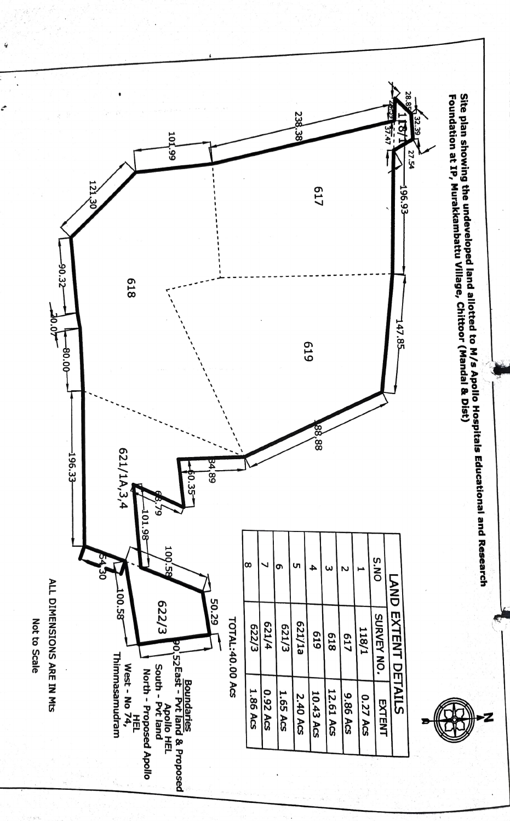